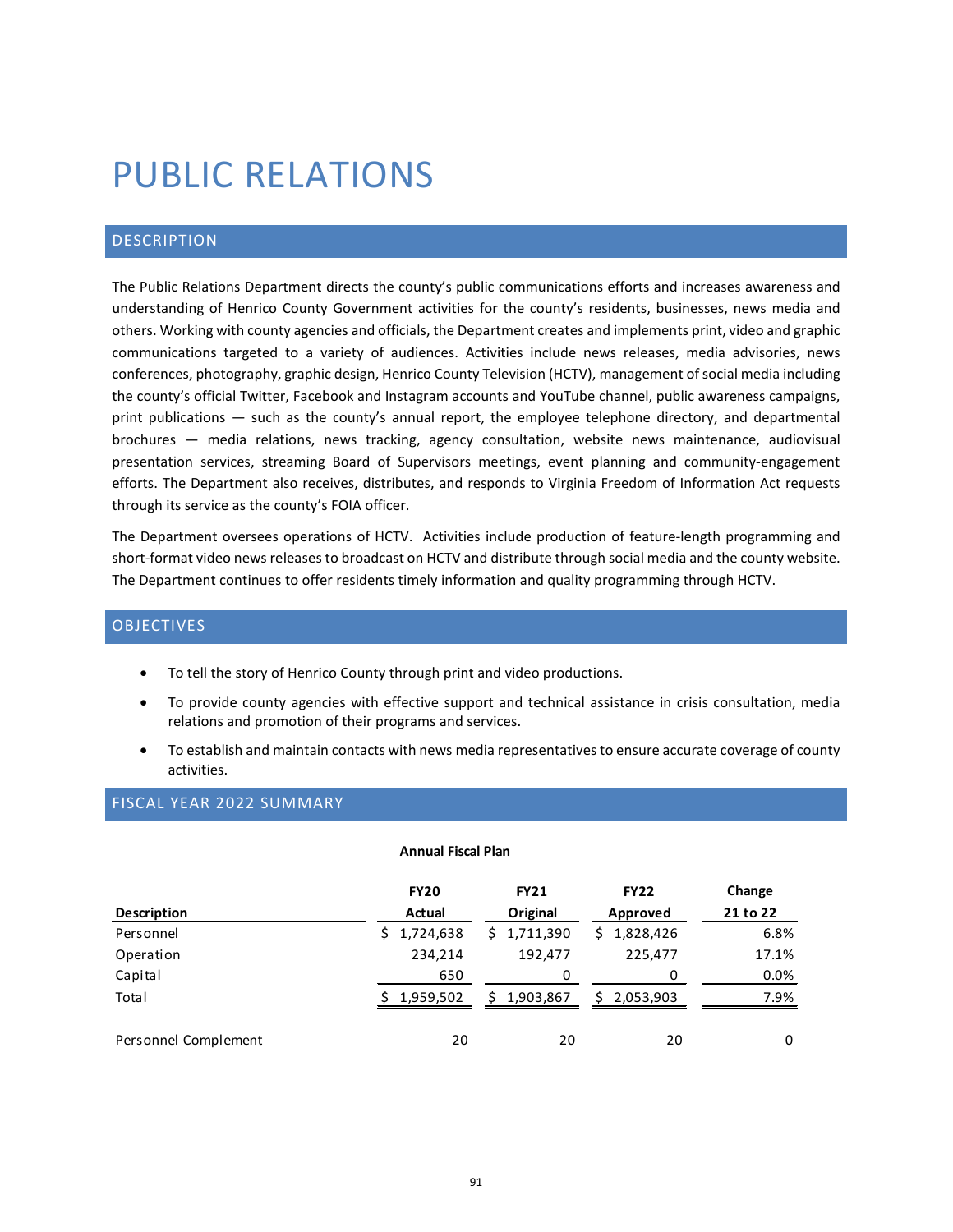# PUBLIC RELATIONS

# DESCRIPTION

The Public Relations Department directs the county's public communications efforts and increases awareness and understanding of Henrico County Government activities for the county's residents, businesses, news media and others. Working with county agencies and officials, the Department creates and implements print, video and graphic communications targeted to a variety of audiences. Activities include news releases, media advisories, news conferences, photography, graphic design, Henrico County Television (HCTV), management of social media including the county's official Twitter, Facebook and Instagram accounts and YouTube channel, public awareness campaigns, print publications — such as the county's annual report, the employee telephone directory, and departmental brochures — media relations, news tracking, agency consultation, website news maintenance, audiovisual presentation services, streaming Board of Supervisors meetings, event planning and community-engagement efforts. The Department also receives, distributes, and responds to Virginia Freedom of Information Act requests through its service as the county's FOIA officer.

The Department oversees operations of HCTV. Activities include production of feature-length programming and short-format video news releases to broadcast on HCTV and distribute through social media and the county website. The Department continues to offer residents timely information and quality programming through HCTV.

## OBJECTIVES

- To tell the story of Henrico County through print and video productions.
- To provide county agencies with effective support and technical assistance in crisis consultation, media relations and promotion of their programs and services.
- To establish and maintain contacts with news media representatives to ensure accurate coverage of county activities.

#### FISCAL YEAR 2022 SUMMARY

#### **Annual Fiscal Plan**

|                      | <b>FY20</b> | <b>FY21</b>     | <b>FY22</b>     | Change   |
|----------------------|-------------|-----------------|-----------------|----------|
| <b>Description</b>   | Actual      | Original        | Approved        | 21 to 22 |
| Personnel            | \$1,724,638 | \$1,711,390     | \$1,828,426     | 6.8%     |
| Operation            | 234,214     | 192.477         | 225,477         | 17.1%    |
| Capital              | 650         | 0               | 0               | 0.0%     |
| Total                | 1,959,502   | 1,903,867<br>S. | 2,053,903<br>S. | 7.9%     |
| Personnel Complement | 20          | 20              | 20              | 0        |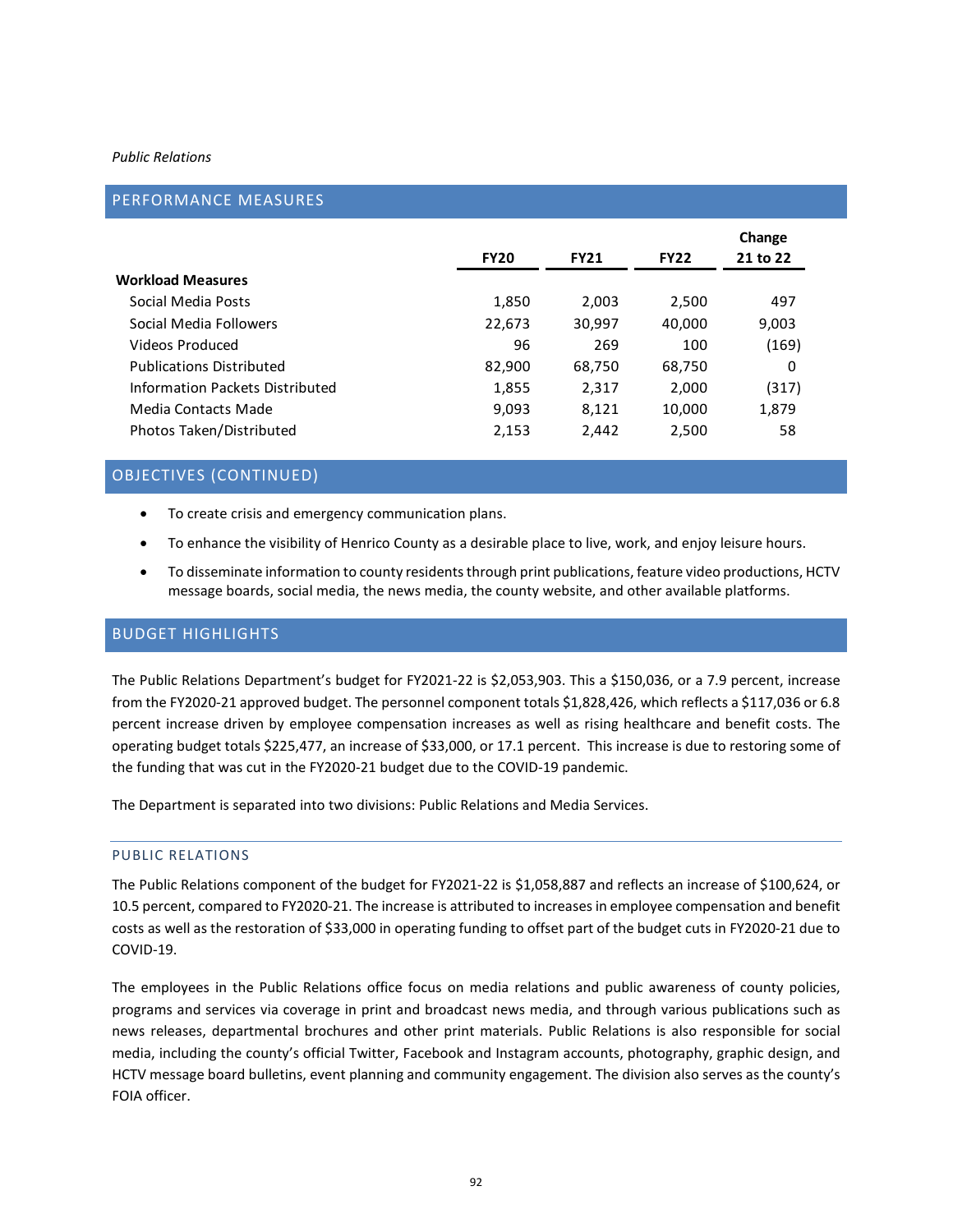#### *Public Relations*

## PERFORMANCE MEASURES

|                                 | <b>FY20</b> | <b>FY21</b> | <b>FY22</b> | 21 to 22 |
|---------------------------------|-------------|-------------|-------------|----------|
| <b>Workload Measures</b>        |             |             |             |          |
| Social Media Posts              | 1,850       | 2,003       | 2,500       | 497      |
| Social Media Followers          | 22,673      | 30,997      | 40,000      | 9,003    |
| Videos Produced                 | 96          | 269         | 100         | (169)    |
| <b>Publications Distributed</b> | 82,900      | 68,750      | 68,750      | 0        |
| Information Packets Distributed | 1,855       | 2,317       | 2,000       | (317)    |
| Media Contacts Made             | 9,093       | 8,121       | 10,000      | 1,879    |
| Photos Taken/Distributed        | 2,153       | 2,442       | 2,500       | 58       |

# OBJECTIVES (CONTINUED)

- To create crisis and emergency communication plans.
- To enhance the visibility of Henrico County as a desirable place to live, work, and enjoy leisure hours.
- To disseminate information to county residents through print publications, feature video productions, HCTV message boards, social media, the news media, the county website, and other available platforms.

# BUDGET HIGHLIGHTS

The Public Relations Department's budget for FY2021-22 is \$2,053,903. This a \$150,036, or a 7.9 percent, increase from the FY2020-21 approved budget. The personnel component totals \$1,828,426, which reflects a \$117,036 or 6.8 percent increase driven by employee compensation increases as well as rising healthcare and benefit costs. The operating budget totals \$225,477, an increase of \$33,000, or 17.1 percent. This increase is due to restoring some of the funding that was cut in the FY2020-21 budget due to the COVID-19 pandemic.

The Department is separated into two divisions: Public Relations and Media Services.

### PUBLIC RELATIONS

The Public Relations component of the budget for FY2021-22 is \$1,058,887 and reflects an increase of \$100,624, or 10.5 percent, compared to FY2020-21. The increase is attributed to increases in employee compensation and benefit costs as well as the restoration of \$33,000 in operating funding to offset part of the budget cuts in FY2020-21 due to COVID-19.

The employees in the Public Relations office focus on media relations and public awareness of county policies, programs and services via coverage in print and broadcast news media, and through various publications such as news releases, departmental brochures and other print materials. Public Relations is also responsible for social media, including the county's official Twitter, Facebook and Instagram accounts, photography, graphic design, and HCTV message board bulletins, event planning and community engagement. The division also serves as the county's FOIA officer.